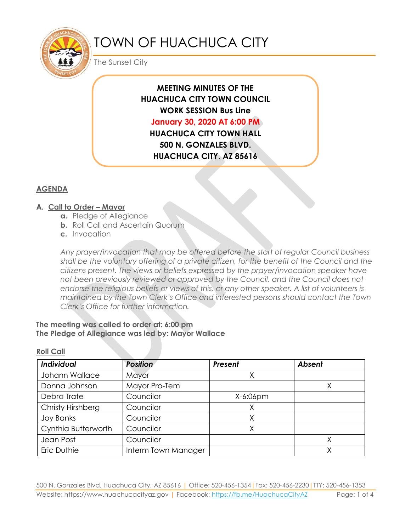

# TOWN OF HUACHUCA CITY

The Sunset City

# **MEETING MINUTES OF THE HUACHUCA CITY TOWN COUNCIL WORK SESSION Bus Line January 30, 2020 AT 6:00 PM HUACHUCA CITY TOWN HALL 500 N. GONZALES BLVD. HUACHUCA CITY, AZ 85616**

## **AGENDA**

#### **A. Call to Order – Mayor**

- **a.** Pledge of Allegiance
- **b.** Roll Call and Ascertain Quorum
- **c.** Invocation

*Any prayer/invocation that may be offered before the start of regular Council business shall be the voluntary offering of a private citizen, for the benefit of the Council and the citizens present. The views or beliefs expressed by the prayer/invocation speaker have not been previously reviewed or approved by the Council, and the Council does not endorse the religious beliefs or views of this, or any other speaker. A list of volunteers is maintained by the Town Clerk's Office and interested persons should contact the Town Clerk's Office for further information.*

#### **The meeting was called to order at: 6:00 pm The Pledge of Allegiance was led by: Mayor Wallace**

**Roll Call**

| Individual          | <b>Position</b>     | Present     | <b>Absent</b> |
|---------------------|---------------------|-------------|---------------|
| Johann Wallace      | Mayor               |             |               |
| Donna Johnson       | Mayor Pro-Tem       |             |               |
| Debra Trate         | Councilor           | $X-6:06$ pm |               |
| Christy Hirshberg   | Councilor           |             |               |
| <b>Joy Banks</b>    | Councilor           |             |               |
| Cynthia Butterworth | Councilor           |             |               |
| Jean Post           | Councilor           |             |               |
| Eric Duthie         | Interm Town Manager |             |               |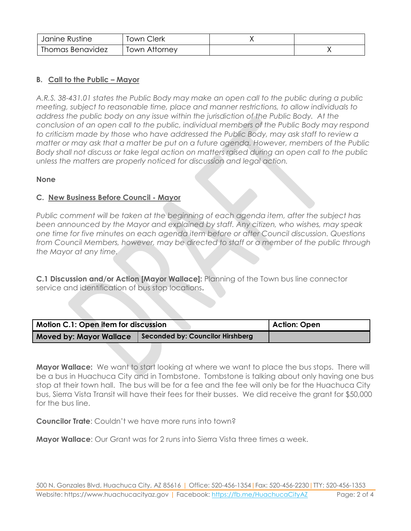| Janine Rustine   | Town Clerk    |  |
|------------------|---------------|--|
| Thomas Benavidez | Town Attornev |  |

### **B. Call to the Public – Mayor**

*A.R.S. 38-431.01 states the Public Body may make an open call to the public during a public meeting, subject to reasonable time, place and manner restrictions, to allow individuals to address the public body on any issue within the jurisdiction of the Public Body. At the conclusion of an open call to the public, individual members of the Public Body may respond to criticism made by those who have addressed the Public Body, may ask staff to review a matter or may ask that a matter be put on a future agenda. However, members of the Public Body shall not discuss or take legal action on matters raised during an open call to the public unless the matters are properly noticed for discussion and legal action.*

#### **None**

#### **C. New Business Before Council - Mayor**

*Public comment will be taken at the beginning of each agenda item, after the subject has been announced by the Mayor and explained by staff. Any citizen, who wishes, may speak one time for five minutes on each agenda item before or after Council discussion. Questions from Council Members, however, may be directed to staff or a member of the public through the Mayor at any time.* 

**C.1 Discussion and/or Action [Mayor Wallace]:** Planning of the Town bus line connector service and identification of bus stop locations**.**

| Motion C.1: Open item for discussion |                                  | Action: Open |
|--------------------------------------|----------------------------------|--------------|
| <b>Moved by: Mayor Wallace</b>       | Seconded by: Councilor Hirshberg |              |

**Mayor Wallace:** We want to start looking at where we want to place the bus stops. There will be a bus in Huachuca City and in Tombstone. Tombstone is talking about only having one bus stop at their town hall. The bus will be for a fee and the fee will only be for the Huachuca City bus, Sierra Vista Transit will have their fees for their busses. We did receive the grant for \$50,000 for the bus line.

**Councilor Trate**: Couldn't we have more runs into town?

**Mayor Wallace**: Our Grant was for 2 runs into Sierra Vista three times a week.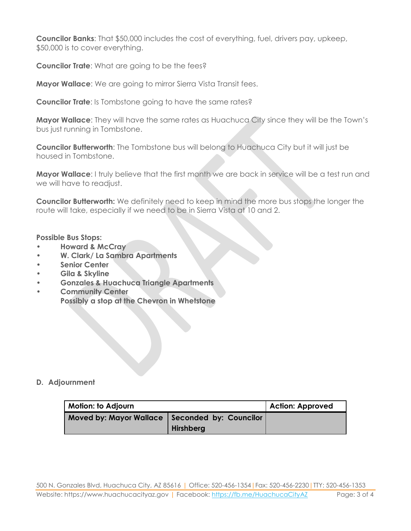**Councilor Banks**: That \$50,000 includes the cost of everything, fuel, drivers pay, upkeep, \$50,000 is to cover everything.

**Councilor Trate**: What are going to be the fees?

**Mayor Wallace**: We are going to mirror Sierra Vista Transit fees.

**Councilor Trate:** Is Tombstone going to have the same rates?

**Mayor Wallace**: They will have the same rates as Huachuca City since they will be the Town's bus just running in Tombstone.

**Councilor Butterworth**: The Tombstone bus will belong to Huachuca City but it will just be housed in Tombstone.

**Mayor Wallace**: I truly believe that the first month we are back in service will be a test run and we will have to readjust.

**Councilor Butterworth:** We definitely need to keep in mind the more bus stops the longer the route will take, especially if we need to be in Sierra Vista at 10 and 2.

#### **Possible Bus Stops:**

- **• Howard & McCray**
- **• W. Clark/ La Sambra Apartments**
- **• Senior Center**
- **• Gila & Skyline**
- **• Gonzales & Huachuca Triangle Apartments**
- **• Community Center Possibly a stop at the Chevron in Whetstone**

#### **D. Adjournment**

| <b>Motion: to Adjourn</b>                        |                  | <b>Action: Approved</b> |
|--------------------------------------------------|------------------|-------------------------|
| Moved by: Mayor Wallace   Seconded by: Councilor | <b>Hirshberg</b> |                         |